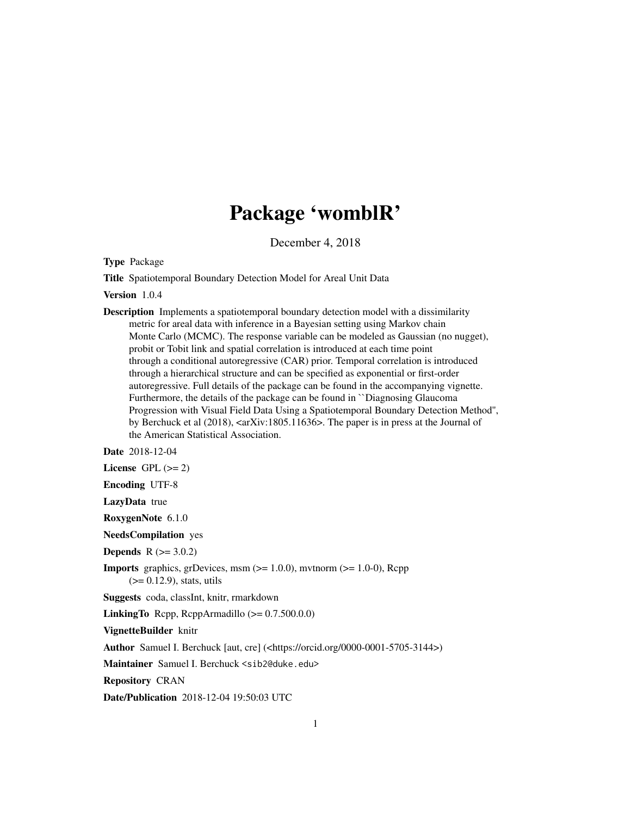# Package 'womblR'

December 4, 2018

Type Package

Title Spatiotemporal Boundary Detection Model for Areal Unit Data

Version 1.0.4

Description Implements a spatiotemporal boundary detection model with a dissimilarity metric for areal data with inference in a Bayesian setting using Markov chain Monte Carlo (MCMC). The response variable can be modeled as Gaussian (no nugget), probit or Tobit link and spatial correlation is introduced at each time point through a conditional autoregressive (CAR) prior. Temporal correlation is introduced through a hierarchical structure and can be specified as exponential or first-order autoregressive. Full details of the package can be found in the accompanying vignette. Furthermore, the details of the package can be found in ``Diagnosing Glaucoma Progression with Visual Field Data Using a Spatiotemporal Boundary Detection Method'', by Berchuck et al (2018), <arXiv:1805.11636>. The paper is in press at the Journal of the American Statistical Association.

Date 2018-12-04

License GPL  $(>= 2)$ 

Encoding UTF-8

LazyData true

RoxygenNote 6.1.0

NeedsCompilation yes

**Depends**  $R (= 3.0.2)$ 

**Imports** graphics, grDevices, msm  $(>= 1.0.0)$ , mvtnorm  $(>= 1.0-0)$ , Rcpp  $(>= 0.12.9)$ , stats, utils

Suggests coda, classInt, knitr, rmarkdown

**LinkingTo** Rcpp, RcppArmadillo  $(>= 0.7.500.0.0)$ 

VignetteBuilder knitr

Author Samuel I. Berchuck [aut, cre] (<https://orcid.org/0000-0001-5705-3144>)

Maintainer Samuel I. Berchuck <sib2@duke.edu>

Repository CRAN

Date/Publication 2018-12-04 19:50:03 UTC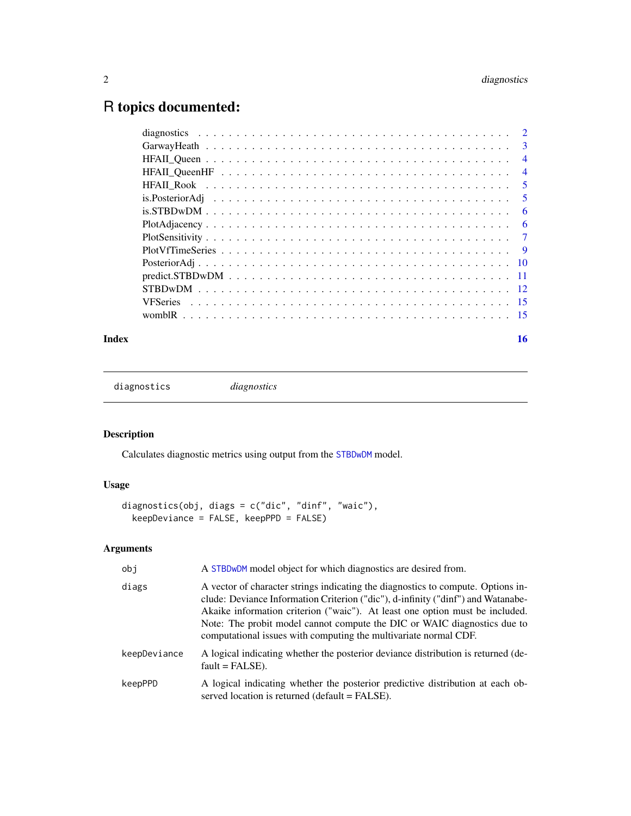# <span id="page-1-0"></span>R topics documented:

| $\overline{3}$             |
|----------------------------|
| $\overline{4}$             |
| $\overline{4}$             |
| $\overline{\phantom{0}}$ 5 |
| $\overline{\phantom{0}}$ 5 |
| -6                         |
| 6                          |
| $\overline{7}$             |
|                            |
|                            |
|                            |
|                            |
|                            |
|                            |
|                            |

#### **Index** the contract of the contract of the contract of the contract of the contract of the contract of the contract of the contract of the contract of the contract of the contract of the contract of the contract of the co

diagnostics *diagnostics*

# Description

Calculates diagnostic metrics using output from the [STBDwDM](#page-11-1) model.

# Usage

```
diagnostics(obj, diags = c("dic", "dinf", "waic"),
 keepDeviance = FALSE, keepPPD = FALSE)
```
# Arguments

| obi          | A STBDwDM model object for which diagnostics are desired from.                                                                                                                                                                                                                                                                                                                                       |
|--------------|------------------------------------------------------------------------------------------------------------------------------------------------------------------------------------------------------------------------------------------------------------------------------------------------------------------------------------------------------------------------------------------------------|
| diags        | A vector of character strings indicating the diagnostics to compute. Options in-<br>clude: Deviance Information Criterion ("dic"), d-infinity ("dinf") and Watanabe-<br>Akaike information criterion ("waic"). At least one option must be included.<br>Note: The probit model cannot compute the DIC or WAIC diagnostics due to<br>computational issues with computing the multivariate normal CDF. |
| keepDeviance | A logical indicating whether the posterior deviance distribution is returned (de-<br>$fault = FALSE$ ).                                                                                                                                                                                                                                                                                              |
| keepPPD      | A logical indicating whether the posterior predictive distribution at each ob-<br>served location is returned (default = FALSE).                                                                                                                                                                                                                                                                     |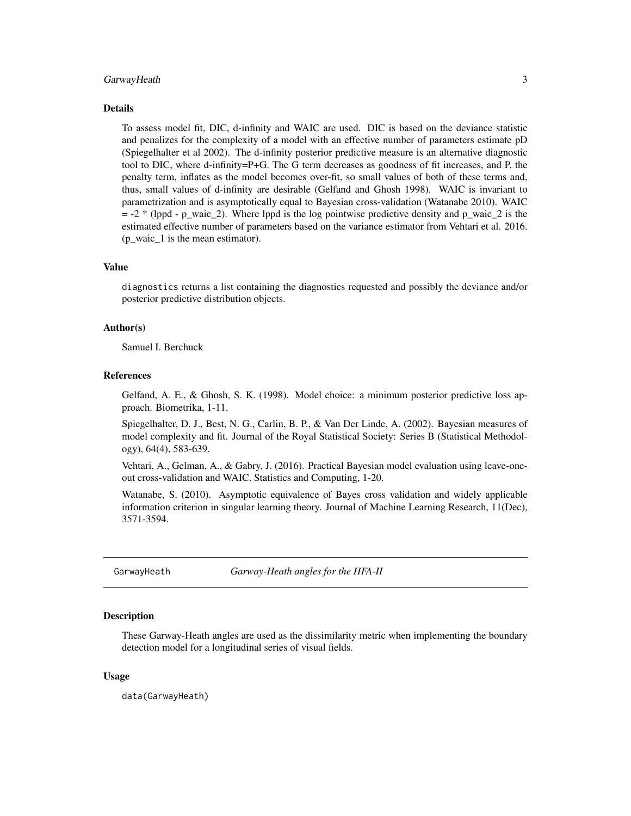#### <span id="page-2-0"></span>GarwayHeath 3

#### Details

To assess model fit, DIC, d-infinity and WAIC are used. DIC is based on the deviance statistic and penalizes for the complexity of a model with an effective number of parameters estimate pD (Spiegelhalter et al 2002). The d-infinity posterior predictive measure is an alternative diagnostic tool to DIC, where d-infinity=P+G. The G term decreases as goodness of fit increases, and P, the penalty term, inflates as the model becomes over-fit, so small values of both of these terms and, thus, small values of d-infinity are desirable (Gelfand and Ghosh 1998). WAIC is invariant to parametrization and is asymptotically equal to Bayesian cross-validation (Watanabe 2010). WAIC  $= -2$  \* (lppd - p\_waic\_2). Where lppd is the log pointwise predictive density and p\_waic\_2 is the estimated effective number of parameters based on the variance estimator from Vehtari et al. 2016. (p\_waic\_1 is the mean estimator).

# Value

diagnostics returns a list containing the diagnostics requested and possibly the deviance and/or posterior predictive distribution objects.

#### Author(s)

Samuel I. Berchuck

#### References

Gelfand, A. E., & Ghosh, S. K. (1998). Model choice: a minimum posterior predictive loss approach. Biometrika, 1-11.

Spiegelhalter, D. J., Best, N. G., Carlin, B. P., & Van Der Linde, A. (2002). Bayesian measures of model complexity and fit. Journal of the Royal Statistical Society: Series B (Statistical Methodology), 64(4), 583-639.

Vehtari, A., Gelman, A., & Gabry, J. (2016). Practical Bayesian model evaluation using leave-oneout cross-validation and WAIC. Statistics and Computing, 1-20.

Watanabe, S. (2010). Asymptotic equivalence of Bayes cross validation and widely applicable information criterion in singular learning theory. Journal of Machine Learning Research, 11(Dec), 3571-3594.

GarwayHeath *Garway-Heath angles for the HFA-II*

#### **Description**

These Garway-Heath angles are used as the dissimilarity metric when implementing the boundary detection model for a longitudinal series of visual fields.

#### Usage

data(GarwayHeath)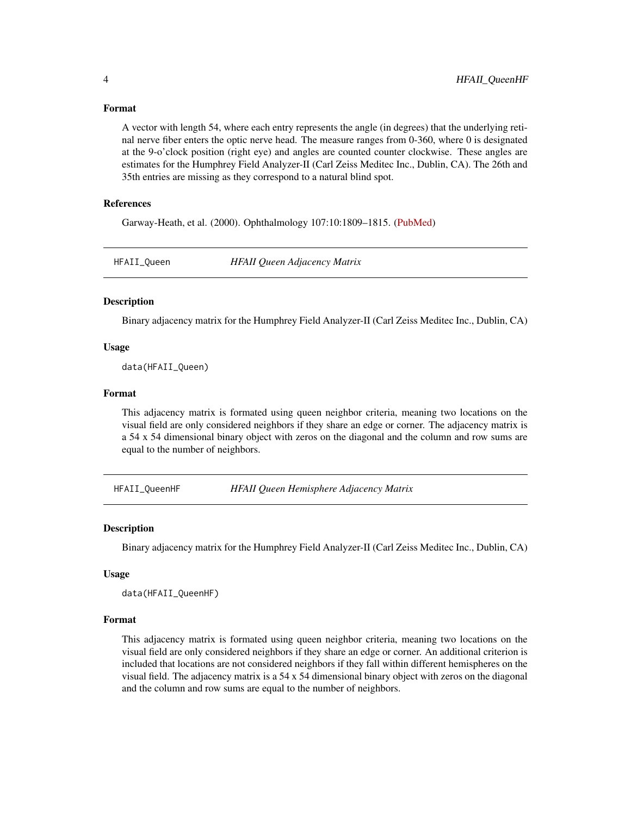#### Format

A vector with length 54, where each entry represents the angle (in degrees) that the underlying retinal nerve fiber enters the optic nerve head. The measure ranges from 0-360, where 0 is designated at the 9-o'clock position (right eye) and angles are counted counter clockwise. These angles are estimates for the Humphrey Field Analyzer-II (Carl Zeiss Meditec Inc., Dublin, CA). The 26th and 35th entries are missing as they correspond to a natural blind spot.

#### References

Garway-Heath, et al. (2000). Ophthalmology 107:10:1809–1815. [\(PubMed\)](https://www.ncbi.nlm.nih.gov/pubmed/11013178)

HFAII\_Queen *HFAII Queen Adjacency Matrix*

#### Description

Binary adjacency matrix for the Humphrey Field Analyzer-II (Carl Zeiss Meditec Inc., Dublin, CA)

#### Usage

data(HFAII\_Queen)

# Format

This adjacency matrix is formated using queen neighbor criteria, meaning two locations on the visual field are only considered neighbors if they share an edge or corner. The adjacency matrix is a 54 x 54 dimensional binary object with zeros on the diagonal and the column and row sums are equal to the number of neighbors.

HFAII\_QueenHF *HFAII Queen Hemisphere Adjacency Matrix*

# **Description**

Binary adjacency matrix for the Humphrey Field Analyzer-II (Carl Zeiss Meditec Inc., Dublin, CA)

#### Usage

```
data(HFAII_QueenHF)
```
#### Format

This adjacency matrix is formated using queen neighbor criteria, meaning two locations on the visual field are only considered neighbors if they share an edge or corner. An additional criterion is included that locations are not considered neighbors if they fall within different hemispheres on the visual field. The adjacency matrix is a 54 x 54 dimensional binary object with zeros on the diagonal and the column and row sums are equal to the number of neighbors.

<span id="page-3-0"></span>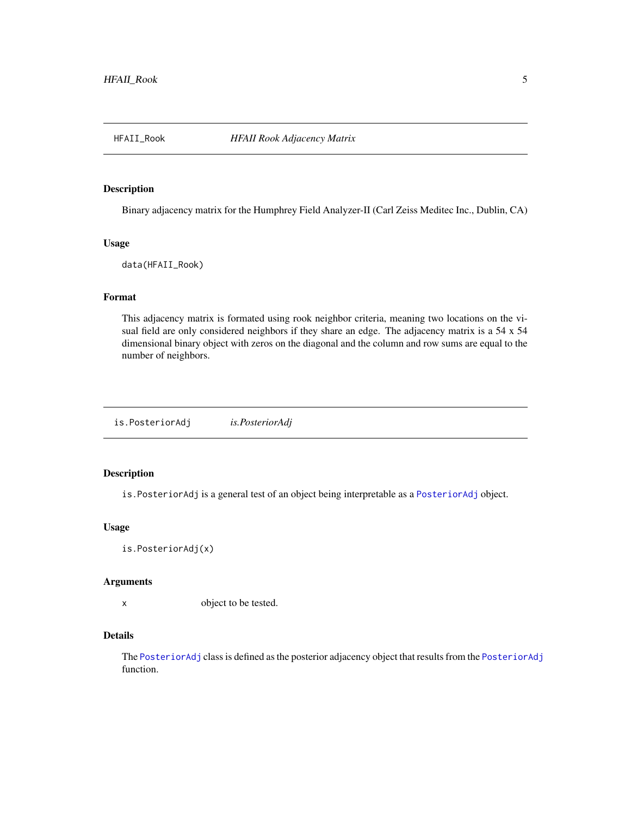<span id="page-4-0"></span>

#### Description

Binary adjacency matrix for the Humphrey Field Analyzer-II (Carl Zeiss Meditec Inc., Dublin, CA)

#### Usage

data(HFAII\_Rook)

# Format

This adjacency matrix is formated using rook neighbor criteria, meaning two locations on the visual field are only considered neighbors if they share an edge. The adjacency matrix is a 54 x 54 dimensional binary object with zeros on the diagonal and the column and row sums are equal to the number of neighbors.

is.PosteriorAdj *is.PosteriorAdj*

#### Description

is.PosteriorAdj is a general test of an object being interpretable as a [PosteriorAdj](#page-9-1) object.

#### Usage

is.PosteriorAdj(x)

#### Arguments

x object to be tested.

#### Details

The [PosteriorAdj](#page-9-1) class is defined as the posterior adjacency object that results from the [PosteriorAdj](#page-9-1) function.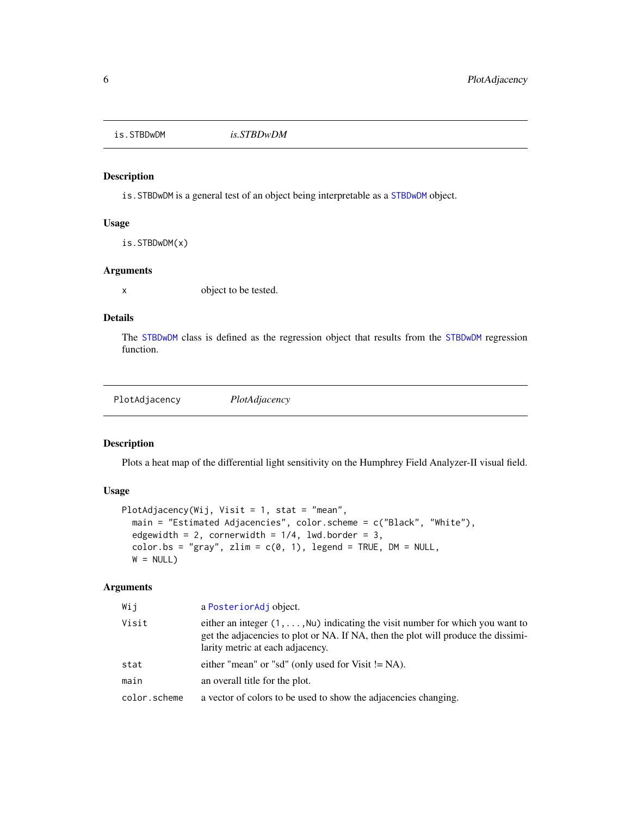<span id="page-5-0"></span>is.STBDwDM *is.STBDwDM*

# Description

is.STBDwDM is a general test of an object being interpretable as a [STBDwDM](#page-11-1) object.

#### Usage

is.STBDwDM(x)

# Arguments

x object to be tested.

# Details

The [STBDwDM](#page-11-1) class is defined as the regression object that results from the [STBDwDM](#page-11-1) regression function.

PlotAdjacency *PlotAdjacency*

# Description

Plots a heat map of the differential light sensitivity on the Humphrey Field Analyzer-II visual field.

# Usage

```
PlotAdjacency(Wij, Visit = 1, stat = "mean",
 main = "Estimated Adjacencies", color.scheme = c("Black", "White"),
  edgewidth = 2, cornerwidth = 1/4, lwd.border = 3,
  color.bs = "gray", zlim = c(0, 1), legend = TRUE, DM = NULL,W = NULL
```
#### Arguments

| Wij          | a Posterior Adj object.                                                                                                                                                                                               |
|--------------|-----------------------------------------------------------------------------------------------------------------------------------------------------------------------------------------------------------------------|
| Visit        | either an integer $(1, \ldots, N\upsilon)$ indicating the visit number for which you want to<br>get the adjacencies to plot or NA. If NA, then the plot will produce the dissimi-<br>larity metric at each adjacency. |
| stat         | either "mean" or "sd" (only used for Visit $!= NA$ ).                                                                                                                                                                 |
| main         | an overall title for the plot.                                                                                                                                                                                        |
| color.scheme | a vector of colors to be used to show the adjacencies changing.                                                                                                                                                       |
|              |                                                                                                                                                                                                                       |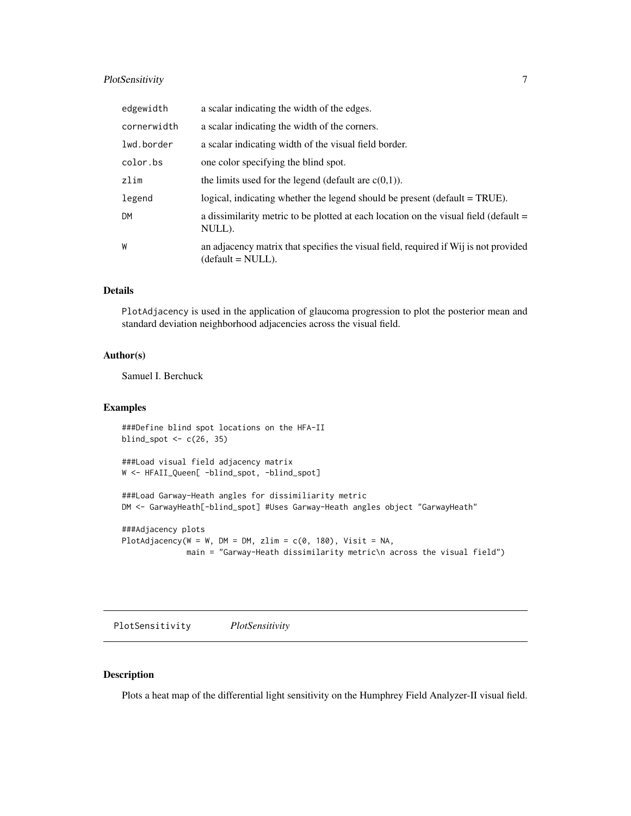# <span id="page-6-0"></span>PlotSensitivity 7

| edgewidth   | a scalar indicating the width of the edges.                                                               |
|-------------|-----------------------------------------------------------------------------------------------------------|
| cornerwidth | a scalar indicating the width of the corners.                                                             |
| lwd.border  | a scalar indicating width of the visual field border.                                                     |
| color.bs    | one color specifying the blind spot.                                                                      |
| zlim        | the limits used for the legend (default are $c(0,1)$ ).                                                   |
| legend      | logical, indicating whether the legend should be present (default = TRUE).                                |
| DM          | a dissimilarity metric to be plotted at each location on the visual field (default =<br>NULL).            |
| W           | an adjacency matrix that specifies the visual field, required if Wij is not provided<br>(default = NULL). |

# Details

PlotAdjacency is used in the application of glaucoma progression to plot the posterior mean and standard deviation neighborhood adjacencies across the visual field.

# Author(s)

Samuel I. Berchuck

# Examples

```
###Define blind spot locations on the HFA-II
blind_spot <- c(26, 35)
###Load visual field adjacency matrix
W <- HFAII_Queen[ -blind_spot, -blind_spot]
###Load Garway-Heath angles for dissimiliarity metric
DM <- GarwayHeath[-blind_spot] #Uses Garway-Heath angles object "GarwayHeath"
###Adjacency plots
```

```
PlotAdjacency(W = W, DM = DM, zlim = c(0, 180), Visit = NA,
             main = "Garway-Heath dissimilarity metric\n across the visual field")
```
PlotSensitivity *PlotSensitivity*

# **Description**

Plots a heat map of the differential light sensitivity on the Humphrey Field Analyzer-II visual field.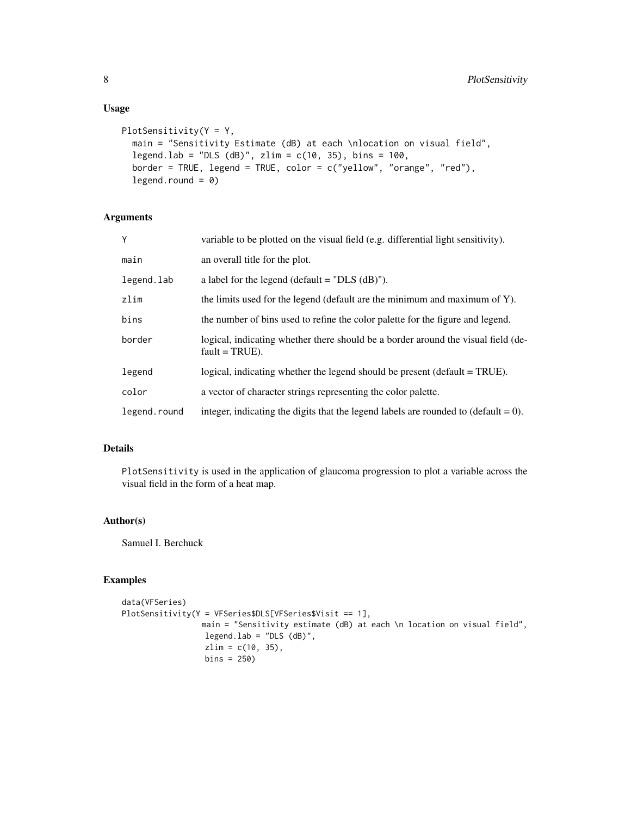## Usage

```
PlotSensitivity(Y = Y,
 main = "Sensitivity Estimate (dB) at each \nlocation on visual field",
  legend.lab = "DLS (dB)", zlim = c(10, 35), bins = 100,
 border = TRUE, legend = TRUE, color = c("yellow", "orange", "red"),legend.round = 0)
```
# Arguments

| Υ            | variable to be plotted on the visual field (e.g. differential light sensitivity).                      |
|--------------|--------------------------------------------------------------------------------------------------------|
| main         | an overall title for the plot.                                                                         |
| legend.lab   | a label for the legend (default $=$ "DLS (dB)").                                                       |
| zlim         | the limits used for the legend (default are the minimum and maximum of Y).                             |
| bins         | the number of bins used to refine the color palette for the figure and legend.                         |
| border       | logical, indicating whether there should be a border around the visual field (de-<br>$fault = TRUE$ ). |
| legend       | logical, indicating whether the legend should be present (default = TRUE).                             |
| color        | a vector of character strings representing the color palette.                                          |
| legend.round | integer, indicating the digits that the legend labels are rounded to (default = $0$ ).                 |

# Details

PlotSensitivity is used in the application of glaucoma progression to plot a variable across the visual field in the form of a heat map.

# Author(s)

Samuel I. Berchuck

# Examples

```
data(VFSeries)
PlotSensitivity(Y = VFSeries$DLS[VFSeries$Visit == 1],
                 main = "Sensitivity estimate (dB) at each \n location on visual field",
                  legend.lab = "DLS (dB)",
                  zlim = c(10, 35),
                  bins = 250)
```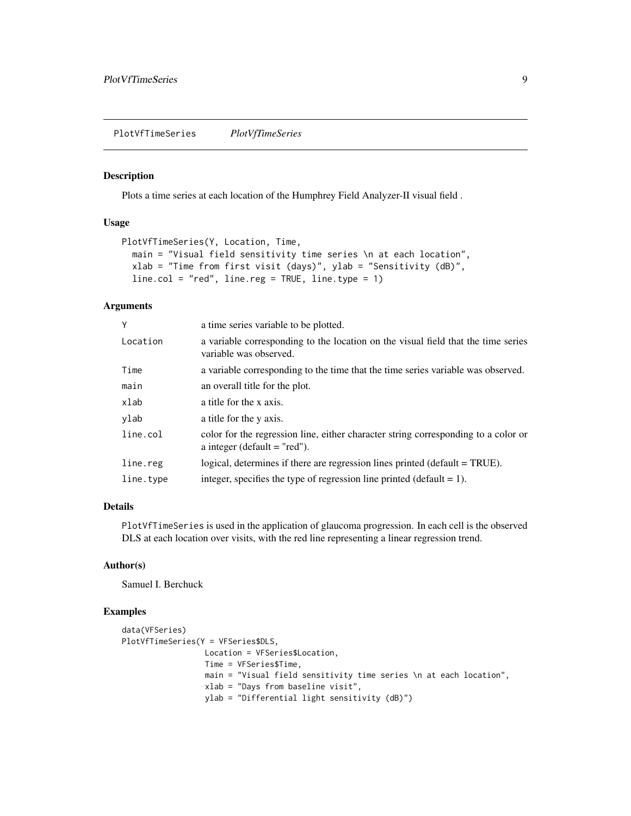<span id="page-8-0"></span>PlotVfTimeSeries *PlotVfTimeSeries*

# Description

Plots a time series at each location of the Humphrey Field Analyzer-II visual field .

#### Usage

```
PlotVfTimeSeries(Y, Location, Time,
  main = "Visual field sensitivity time series \n at each location",
 xlab = "Time from first visit (days)", ylab = "Sensitivity (dB)",
  line.col = "red", line.reg = TRUE, line.type = 1)
```
# Arguments

| Y         | a time series variable to be plotted.                                                                                |
|-----------|----------------------------------------------------------------------------------------------------------------------|
| Location  | a variable corresponding to the location on the visual field that the time series<br>variable was observed.          |
| Time      | a variable corresponding to the time that the time series variable was observed.                                     |
| main      | an overall title for the plot.                                                                                       |
| xlab      | a title for the x axis.                                                                                              |
| ylab      | a title for the y axis.                                                                                              |
| line.col  | color for the regression line, either character string corresponding to a color or<br>a integer (default $=$ "red"). |
| line.reg  | logical, determines if there are regression lines printed (default $= TRUE$ ).                                       |
| line.type | integer, specifies the type of regression line printed (default $= 1$ ).                                             |

#### Details

PlotVfTimeSeries is used in the application of glaucoma progression. In each cell is the observed DLS at each location over visits, with the red line representing a linear regression trend.

#### Author(s)

Samuel I. Berchuck

# Examples

```
data(VFSeries)
PlotVfTimeSeries(Y = VFSeries$DLS,
                 Location = VFSeries$Location,
                 Time = VFSeries$Time,
                 main = "Visual field sensitivity time series \n at each location",
                  xlab = "Days from baseline visit",
                  ylab = "Differential light sensitivity (dB)")
```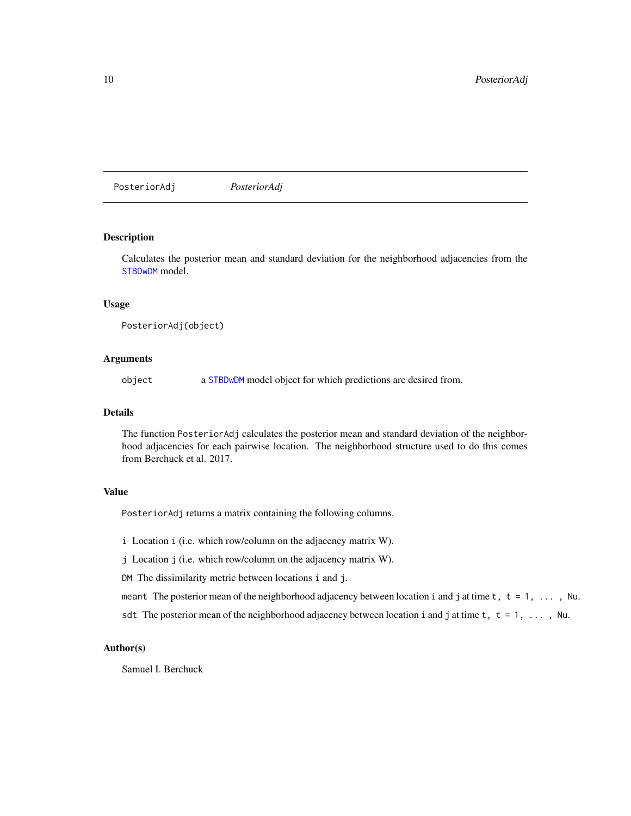<span id="page-9-1"></span><span id="page-9-0"></span>PosteriorAdj *PosteriorAdj*

#### Description

Calculates the posterior mean and standard deviation for the neighborhood adjacencies from the [STBDwDM](#page-11-1) model.

# Usage

PosteriorAdj(object)

### Arguments

object a [STBDwDM](#page-11-1) model object for which predictions are desired from.

## Details

The function PosteriorAdj calculates the posterior mean and standard deviation of the neighborhood adjacencies for each pairwise location. The neighborhood structure used to do this comes from Berchuck et al. 2017.

#### Value

PosteriorAdj returns a matrix containing the following columns.

i Location i (i.e. which row/column on the adjacency matrix W).

j Location j (i.e. which row/column on the adjacency matrix W).

DM The dissimilarity metric between locations i and j.

meant The posterior mean of the neighborhood adjacency between location i and j at time  $t$ ,  $t = 1, \ldots$ , Nu. sdt The posterior mean of the neighborhood adjacency between location i and j at time  $t$ ,  $t = 1, \ldots$ , Nu.

# Author(s)

Samuel I. Berchuck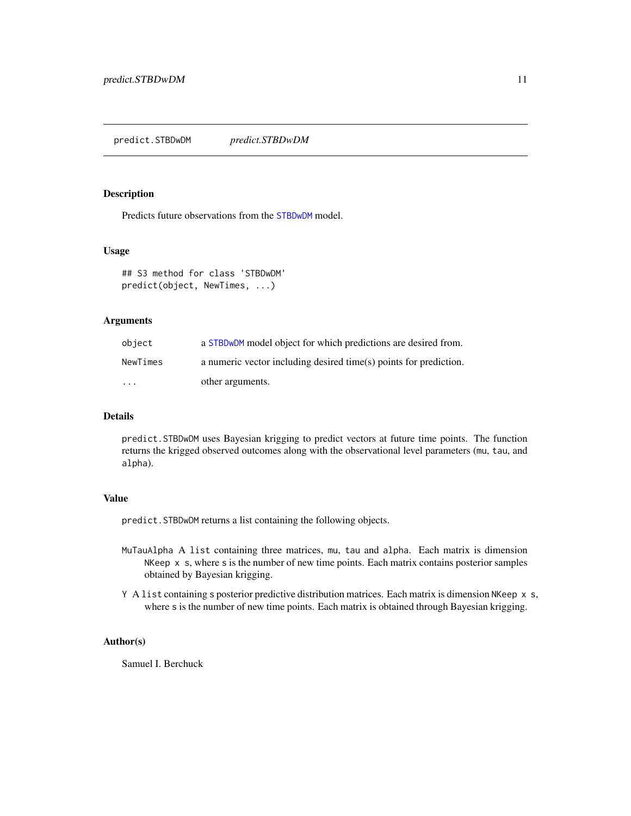### <span id="page-10-0"></span>Description

Predicts future observations from the [STBDwDM](#page-11-1) model.

# Usage

```
## S3 method for class 'STBDwDM'
predict(object, NewTimes, ...)
```
#### Arguments

| object                  | a STBD <sub>w</sub> DM model object for which predictions are desired from. |
|-------------------------|-----------------------------------------------------------------------------|
| NewTimes                | a numeric vector including desired time(s) points for prediction.           |
| $\cdot$ $\cdot$ $\cdot$ | other arguments.                                                            |

#### Details

predict.STBDwDM uses Bayesian krigging to predict vectors at future time points. The function returns the krigged observed outcomes along with the observational level parameters (mu, tau, and alpha).

#### Value

predict.STBDwDM returns a list containing the following objects.

- MuTauAlpha A list containing three matrices, mu, tau and alpha. Each matrix is dimension NKeep  $\times$  s, where s is the number of new time points. Each matrix contains posterior samples obtained by Bayesian krigging.
- Y A list containing s posterior predictive distribution matrices. Each matrix is dimension NKeep x s, where s is the number of new time points. Each matrix is obtained through Bayesian krigging.

#### Author(s)

Samuel I. Berchuck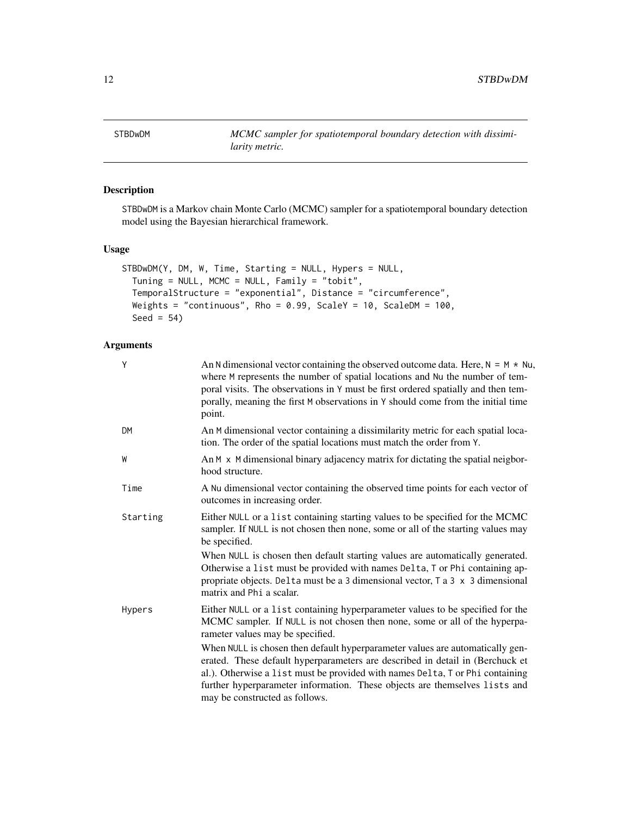<span id="page-11-1"></span><span id="page-11-0"></span>STBDwDM *MCMC sampler for spatiotemporal boundary detection with dissimilarity metric.*

# Description

STBDwDM is a Markov chain Monte Carlo (MCMC) sampler for a spatiotemporal boundary detection model using the Bayesian hierarchical framework.

# Usage

```
STBDwDM(Y, DM, W, Time, Starting = NULL, Hypers = NULL,
 Tuning = NULL, MCMC = NULL, Family = "tobit",
 TemporalStructure = "exponential", Distance = "circumference",
 Weights = "continuous", Rho = 0.99, ScaleY = 10, ScaleDM = 100,
 Seed = 54)
```
# Arguments

| Y         | An N dimensional vector containing the observed outcome data. Here, $N = M \times Nu$ ,<br>where M represents the number of spatial locations and Nu the number of tem-<br>poral visits. The observations in Y must be first ordered spatially and then tem-<br>porally, meaning the first M observations in Y should come from the initial time<br>point.      |
|-----------|-----------------------------------------------------------------------------------------------------------------------------------------------------------------------------------------------------------------------------------------------------------------------------------------------------------------------------------------------------------------|
| <b>DM</b> | An M dimensional vector containing a dissimilarity metric for each spatial loca-<br>tion. The order of the spatial locations must match the order from Y.                                                                                                                                                                                                       |
| W         | An M x M dimensional binary adjacency matrix for dictating the spatial neigbor-<br>hood structure.                                                                                                                                                                                                                                                              |
| Time      | A Nu dimensional vector containing the observed time points for each vector of<br>outcomes in increasing order.                                                                                                                                                                                                                                                 |
| Starting  | Either NULL or a list containing starting values to be specified for the MCMC<br>sampler. If NULL is not chosen then none, some or all of the starting values may<br>be specified.                                                                                                                                                                              |
|           | When NULL is chosen then default starting values are automatically generated.<br>Otherwise a list must be provided with names Delta, T or Phi containing ap-<br>propriate objects. Delta must be a 3 dimensional vector, $\tau$ a 3 $\times$ 3 dimensional<br>matrix and Phi a scalar.                                                                          |
| Hypers    | Either NULL or a list containing hyperparameter values to be specified for the<br>MCMC sampler. If NULL is not chosen then none, some or all of the hyperpa-<br>rameter values may be specified.                                                                                                                                                                |
|           | When NULL is chosen then default hyperparameter values are automatically gen-<br>erated. These default hyperparameters are described in detail in (Berchuck et<br>al.). Otherwise a list must be provided with names Delta, T or Phi containing<br>further hyperparameter information. These objects are themselves lists and<br>may be constructed as follows. |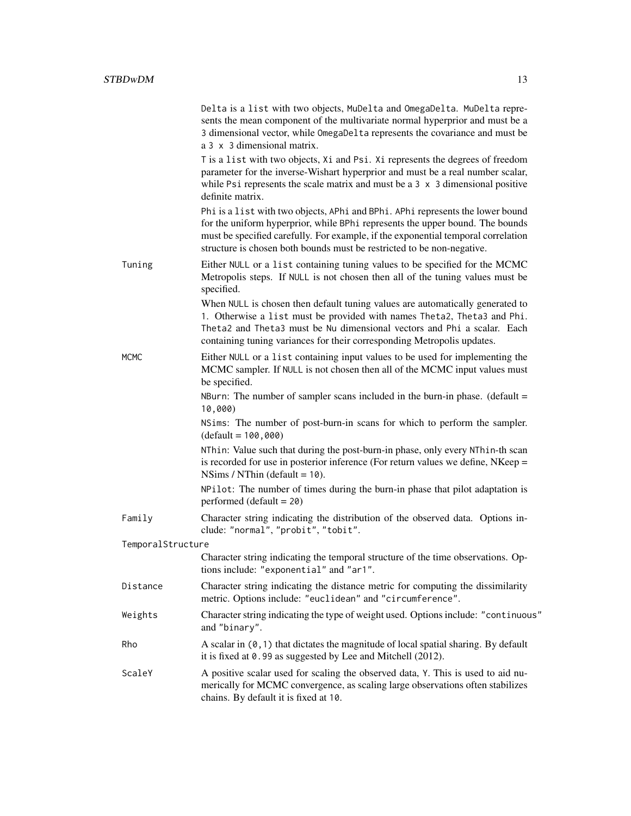|                   | Delta is a list with two objects, MuDelta and OmegaDelta. MuDelta repre-<br>sents the mean component of the multivariate normal hyperprior and must be a<br>3 dimensional vector, while OmegaDelta represents the covariance and must be<br>a 3 x 3 dimensional matrix.                                                        |
|-------------------|--------------------------------------------------------------------------------------------------------------------------------------------------------------------------------------------------------------------------------------------------------------------------------------------------------------------------------|
|                   | T is a list with two objects, Xi and Psi. Xi represents the degrees of freedom<br>parameter for the inverse-Wishart hyperprior and must be a real number scalar,<br>while Psi represents the scale matrix and must be a $3 \times 3$ dimensional positive<br>definite matrix.                                                  |
|                   | Phi is a list with two objects, APhi and BPhi. APhi represents the lower bound<br>for the uniform hyperprior, while BPhi represents the upper bound. The bounds<br>must be specified carefully. For example, if the exponential temporal correlation<br>structure is chosen both bounds must be restricted to be non-negative. |
| Tuning            | Either NULL or a list containing tuning values to be specified for the MCMC<br>Metropolis steps. If NULL is not chosen then all of the tuning values must be<br>specified.                                                                                                                                                     |
|                   | When NULL is chosen then default tuning values are automatically generated to<br>1. Otherwise a list must be provided with names Theta2, Theta3 and Phi.<br>Theta2 and Theta3 must be Nu dimensional vectors and Phi a scalar. Each<br>containing tuning variances for their corresponding Metropolis updates.                 |
| <b>MCMC</b>       | Either NULL or a list containing input values to be used for implementing the<br>MCMC sampler. If NULL is not chosen then all of the MCMC input values must<br>be specified.                                                                                                                                                   |
|                   | NBurn: The number of sampler scans included in the burn-in phase. (default $=$<br>10,000)                                                                                                                                                                                                                                      |
|                   | NSims: The number of post-burn-in scans for which to perform the sampler.<br>$(default = 100,000)$                                                                                                                                                                                                                             |
|                   | NThin: Value such that during the post-burn-in phase, only every NThin-th scan<br>is recorded for use in posterior inference (For return values we define, $NKeep =$<br>NSims / NThin (default = $10$ ).                                                                                                                       |
|                   | NPilot: The number of times during the burn-in phase that pilot adaptation is<br>performed (default = $20$ )                                                                                                                                                                                                                   |
| Family            | Character string indicating the distribution of the observed data. Options in-<br>clude: "normal", "probit", "tobit".                                                                                                                                                                                                          |
| TemporalStructure | Character string indicating the temporal structure of the time observations. Op-<br>tions include: "exponential" and "ar1".                                                                                                                                                                                                    |
| Distance          | Character string indicating the distance metric for computing the dissimilarity<br>metric. Options include: "euclidean" and "circumference".                                                                                                                                                                                   |
| Weights           | Character string indicating the type of weight used. Options include: "continuous"<br>and "binary".                                                                                                                                                                                                                            |
| Rho               | A scalar in $(0, 1)$ that dictates the magnitude of local spatial sharing. By default<br>it is fixed at 0.99 as suggested by Lee and Mitchell (2012).                                                                                                                                                                          |
| ScaleY            | A positive scalar used for scaling the observed data, Y. This is used to aid nu-<br>merically for MCMC convergence, as scaling large observations often stabilizes<br>chains. By default it is fixed at 10.                                                                                                                    |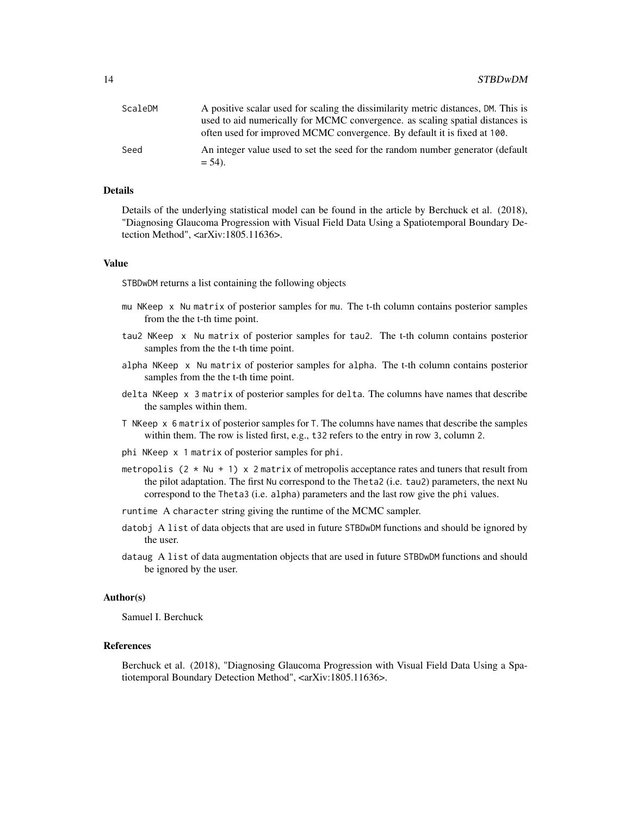| ScaleDM | A positive scalar used for scaling the dissimilarity metric distances, DM. This is |
|---------|------------------------------------------------------------------------------------|
|         | used to aid numerically for MCMC convergence. as scaling spatial distances is      |
|         | often used for improved MCMC convergence. By default it is fixed at 100.           |
| Seed    | An integer value used to set the seed for the random number generator (default     |
|         | $= 54$ ).                                                                          |

#### Details

Details of the underlying statistical model can be found in the article by Berchuck et al. (2018), "Diagnosing Glaucoma Progression with Visual Field Data Using a Spatiotemporal Boundary Detection Method", <arXiv:1805.11636>.

#### Value

STBDwDM returns a list containing the following objects

- mu NKeep x Nu matrix of posterior samples for mu. The t-th column contains posterior samples from the t-th time point.
- tau2 NKeep x Nu matrix of posterior samples for tau2. The t-th column contains posterior samples from the t-th time point.
- alpha NKeep x Nu matrix of posterior samples for alpha. The t-th column contains posterior samples from the t-th time point.
- delta NKeep x 3 matrix of posterior samples for delta. The columns have names that describe the samples within them.
- T NKeep x 6 matrix of posterior samples for T. The columns have names that describe the samples within them. The row is listed first, e.g., t32 refers to the entry in row 3, column 2.
- phi NKeep x 1 matrix of posterior samples for phi.
- metropolis  $(2 \times Nu + 1) \times 2$  matrix of metropolis acceptance rates and tuners that result from the pilot adaptation. The first Nu correspond to the Theta2 (i.e. tau2) parameters, the next Nu correspond to the Theta3 (i.e. alpha) parameters and the last row give the phi values.
- runtime A character string giving the runtime of the MCMC sampler.
- datobj A list of data objects that are used in future STBDwDM functions and should be ignored by the user.
- dataug A list of data augmentation objects that are used in future STBDwDM functions and should be ignored by the user.

#### Author(s)

Samuel I. Berchuck

# References

Berchuck et al. (2018), "Diagnosing Glaucoma Progression with Visual Field Data Using a Spatiotemporal Boundary Detection Method", <arXiv:1805.11636>.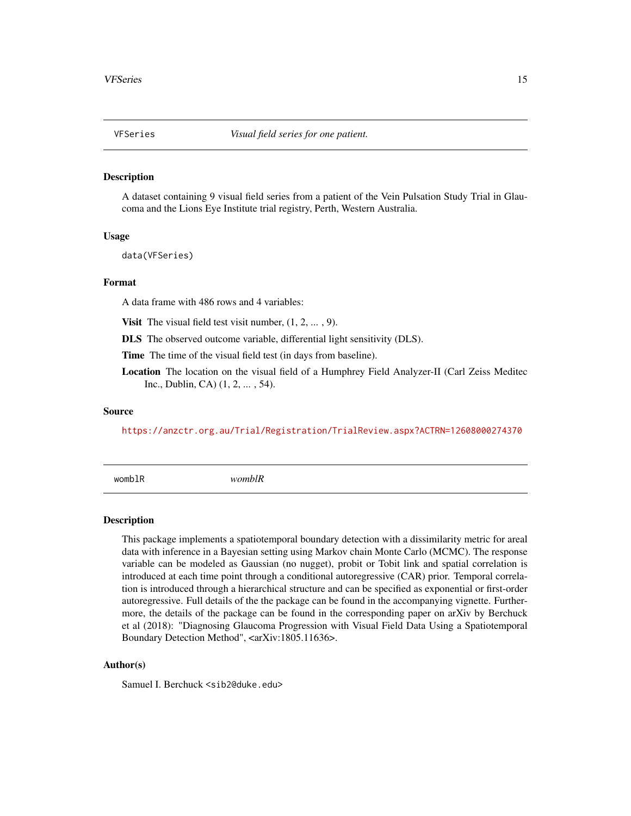#### <span id="page-14-0"></span>Description

A dataset containing 9 visual field series from a patient of the Vein Pulsation Study Trial in Glaucoma and the Lions Eye Institute trial registry, Perth, Western Australia.

#### Usage

data(VFSeries)

#### Format

A data frame with 486 rows and 4 variables:

**Visit** The visual field test visit number,  $(1, 2, \ldots, 9)$ .

DLS The observed outcome variable, differential light sensitivity (DLS).

Time The time of the visual field test (in days from baseline).

Location The location on the visual field of a Humphrey Field Analyzer-II (Carl Zeiss Meditec Inc., Dublin, CA) (1, 2, ... , 54).

#### Source

<https://anzctr.org.au/Trial/Registration/TrialReview.aspx?ACTRN=12608000274370>

womblR *womblR*

#### **Description**

This package implements a spatiotemporal boundary detection with a dissimilarity metric for areal data with inference in a Bayesian setting using Markov chain Monte Carlo (MCMC). The response variable can be modeled as Gaussian (no nugget), probit or Tobit link and spatial correlation is introduced at each time point through a conditional autoregressive (CAR) prior. Temporal correlation is introduced through a hierarchical structure and can be specified as exponential or first-order autoregressive. Full details of the the package can be found in the accompanying vignette. Furthermore, the details of the package can be found in the corresponding paper on arXiv by Berchuck et al (2018): "Diagnosing Glaucoma Progression with Visual Field Data Using a Spatiotemporal Boundary Detection Method", <arXiv:1805.11636>.

#### Author(s)

Samuel I. Berchuck <sib2@duke.edu>